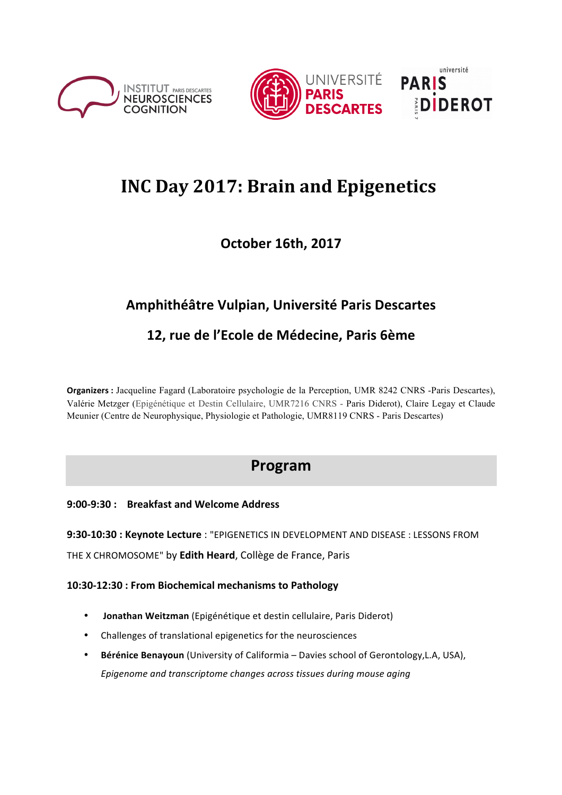





# **INC Day 2017: Brain and Epigenetics**

### **October 16th, 2017**

### **Amphithéâtre Vulpian, Université Paris Descartes**

### 12, rue de l'Ecole de Médecine, Paris 6ème

**Organizers :** Jacqueline Fagard (Laboratoire psychologie de la Perception, UMR 8242 CNRS -Paris Descartes), Valérie Metzger (Epigénétique et Destin Cellulaire, UMR7216 CNRS - Paris Diderot), Claire Legay et Claude Meunier (Centre de Neurophysique, Physiologie et Pathologie, UMR8119 CNRS - Paris Descartes)

## **Program**

### **9:00-9:30 : Breakfast and Welcome Address**

**9:30-10:30 : Keynote Lecture** : "EPIGENETICS IN DEVELOPMENT AND DISEASE : LESSONS FROM

THE X CHROMOSOME" by Edith Heard, Collège de France, Paris

**10:30-12:30 : From Biochemical mechanisms to Pathology**

- **Jonathan Weitzman** (Epigénétique et destin cellulaire, Paris Diderot)
- Challenges of translational epigenetics for the neurosciences
- Bérénice Benayoun (University of Califormia Davies school of Gerontology, L.A, USA), Epigenome and transcriptome changes across tissues during mouse aging